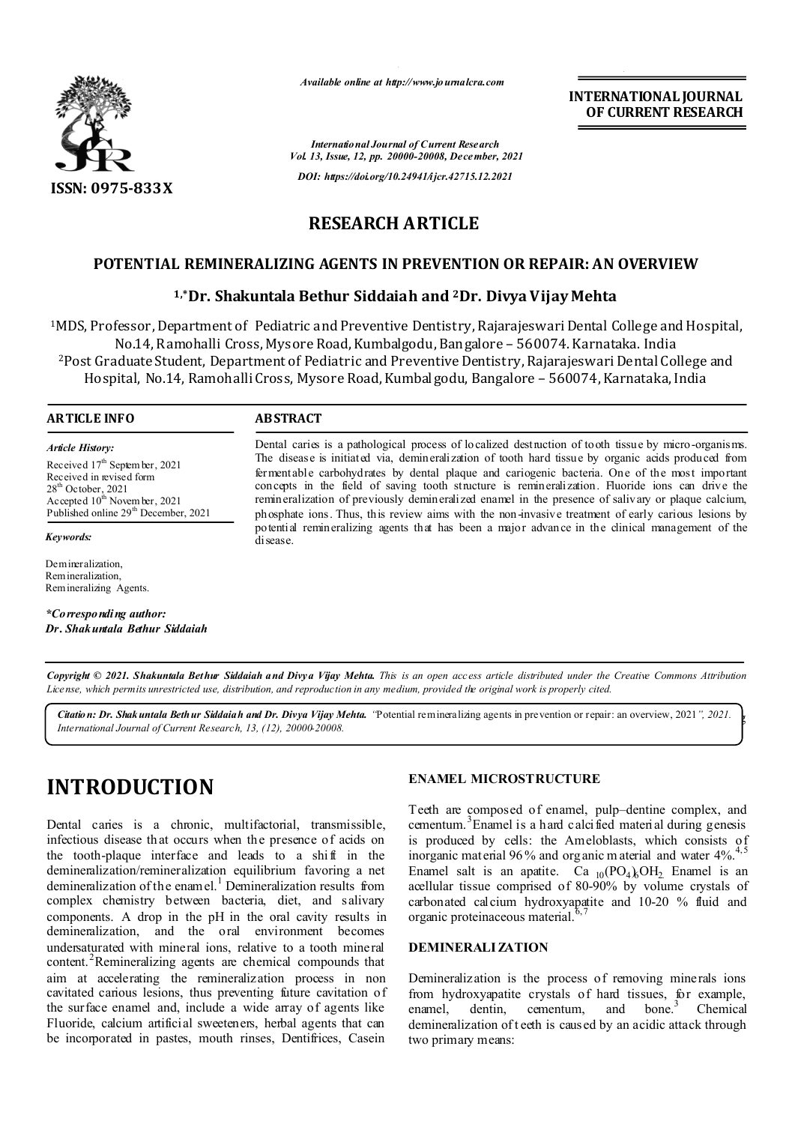

*Available online at http://www.journalcra.com*

*International Journal of Current Research Vol. 13, Issue, 12, pp. 20000-20008, December, 2021 DOI: https://doi.org/10.24941/ijcr.42715.12.2021*

**RESEARCH ARTICLE** 

# **POTENTIAL REMINERALIZING AGENTS IN PREVENTION OR REPAIR: AN OVERVIEW**

# **1,\*Dr. Shakuntala Bethur Siddaiah and 2Dr. Divya Vijay Mehta**

1MDS, Professor, Department of Pediatric and Preventive Dentistry, Rajarajeswari Dental College and Hospital, No.14, Ramohalli Cross, Mysore Road, Kumbalgodu, Bangalore – 560074. Karnataka. India 2Post Graduate Student, Department of Pediatric and Preventive Dentistry, Rajarajeswari Dental College and Hospital, No.14, Ramohalli Cross, Mysore Road, Kumbalgodu, Bangalore – 560074, Karnataka, India

#### **ARTICLE INFO ABSTRACT**

*Article History: Article History:*

Received  $17<sup>th</sup>$  Septem ber, 2021 Received in revised form Received in revised form  $28<sup>th</sup>$  October, 2021 Accepted  $10^{\text{th}}$  November, 2021 Published online 29<sup>th</sup> December, 2021  $28<sup>th</sup>$  October, 2021 Ac cepted  $10^{\text{th}}$  Novem b  $28<sup>th</sup>$  October, 2021 Accepted 10<sup>th</sup> Novem ber, 2021

*Keywords:*

Demineralization, Remineralization, Remineralizing Agents.

*\*Corresponding author: Dr. Shakuntala Bethur Siddaiah* Dental caries is a pathological process of localized destruction of tooth tissue by micro-organisms. The disease is initiated via, demineralization of tooth hard tissue by organic acids produced from fermentable carbohydrates by dental plaque and cariogenic bacteria. One of the most important concepts in the field of saving tooth structure is remineralization. Fluoride ions can drive the remineralization of previously demineralized enamel in the presence of salivary or plaque calcium, phosphate ions. Thus, this review aims with the non-invasive treatment of early carious lesions by potential remineralizing agents that has been a major advance in the clinical management of the disease.

Copyright © 2021. Shakuntala Bethur Siddaiah and Divya Vijay Mehta. This is an open access article distributed under the Creative Commons Attribution License, which permits unrestricted use, distribution, and reproduction in any medium, provided the original work is properly cited.

Citation: Dr. Shak untala Beth ur Siddaiah and Dr. Divya Vijay Mehta. "Potential remineralizing agents in prevention or repair: an overview, 2021", 2021. *International Journal of Current Research, 13, (12), 20000-20008.*

# **INTRODUCTION**

Dental caries is a chronic, multifactorial, transmissible, infectious disease that occurs when the presence of acids on the tooth-plaque interface and leads to a shift in the demineralization/remineralization equilibrium favoring a net demineralization of the enamel.<sup>1</sup> Demineralization results from complex chemistry between bacteria, diet, and salivary components. A drop in the pH in the oral cavity results in demineralization, and the oral environment becomes undersaturated with mineral ions, relative to a tooth mineral content.<sup>2</sup>Remineralizing agents are chemical compounds that aim at accelerating the remineralization process in non cavitated carious lesions, thus preventing future cavitation of the surface enamel and, include a wide array of agents like Fluoride, calcium artificial sweeteners, herbal agents that can be incorporated in pastes, mouth rinses, Dentifrices, Casein

#### **ENAMEL MICROSTRUCTURE**

Teeth are composed of enamel, pulp–dentine complex, and cementum.<sup>3</sup> Enamel is a hard calcified material during genesis is produced by cells: the Ameloblasts, which consists of inorganic mat erial  $96\%$  and organic m aterial and water  $4\%$ . Enamel salt is an apatite. Ca  $_{10}(PO_4)_6OH_2$  Enamel is an acellular tissue comprised of 80-90% by volume crystals of carbonated calcium hydroxyapatite and 10-20 % fluid and organic proteinaceous material.

**INTERNATIONAL JOURNAL OF CURRENT RESEARCH**

#### **DEMINERALI ZATION**

Demineralization is the process of removing minerals ions from hydroxyapatite crystals of hard tissues, for example, enamel, dentin, cementum, and bone.<sup>3</sup> Chemical demineralization of t eeth is caused by an acidic attack through two primary means: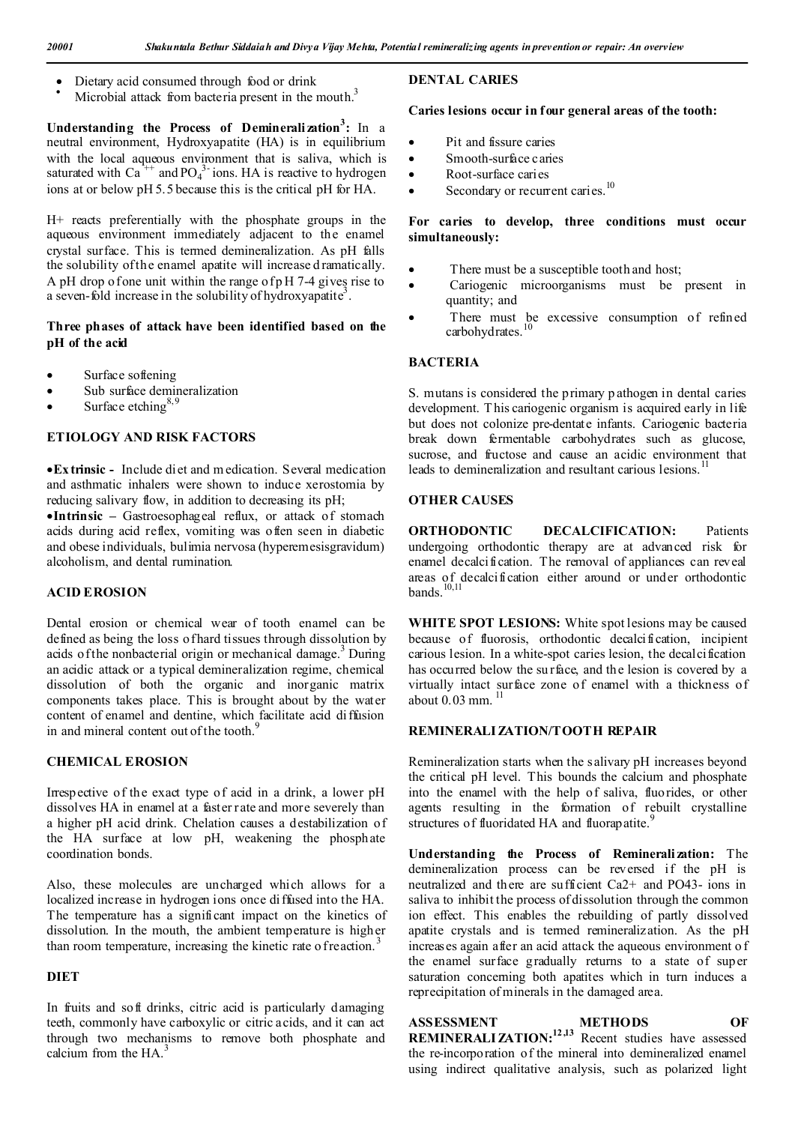- 
- Dietary acid consumed through food or drink<br>
Microbial attack from bacteria present in the mouth.<sup>3</sup>

**Understanding the Process of Deminerali zation<sup>3</sup> :** In a neutral environment, Hydroxyapatite (HA) is in equilibrium with the local aqueous environment that is saliva, which is saturated with  $Ca^{4+}$  and PO<sub>4</sub><sup>3-</sup>ions. HA is reactive to hydrogen ions at or below pH 5.5 because this is the critical pH for HA.

H+ reacts preferentially with the phosphate groups in the aqueous environment immediately adjacent to the enamel crystal surface. This is termed demineralization. As pH falls the solubility of the enamel apatite will increase d ramatically. A pH drop of one unit within the range of p H 7-4 gives rise to a seven-fold increase in the solubility of hydroxyapatite<sup>3</sup>.

### **Three phases of attack have been identified based on the pH of the acid**

- Surface softening
- Sub surface demineralization
- Surface etching<sup>8,9</sup>

# **ETIOLOGY AND RISK FACTORS**

**Ex trinsic -** Include diet and m edication. Several medication and asthmatic inhalers were shown to induce xerostomia by reducing salivary flow, in addition to decreasing its pH;

**Intrinsic –** Gastroesophageal reflux, or attack of stomach acids during acid reflex, vomiting was often seen in diabetic and obese individuals, bulimia nervosa (hyperemesisgravidum) alcoholism, and dental rumination.

# **ACID EROSION**

Dental erosion or chemical wear of tooth enamel can be defined as being the loss of hard tissues through dissolution by acids of the nonbacterial origin or mechanical damage.<sup>3</sup> During an acidic attack or a typical demineralization regime, chemical dissolution of both the organic and inorganic matrix components takes place. This is brought about by the water content of enamel and dentine, which facilitate acid diffusion in and mineral content out of the tooth.<sup>9</sup>

# **CHEMICAL EROSION**

Irrespective of the exact type of acid in a drink, a lower pH dissolves HA in enamel at a faster rate and more severely than a higher pH acid drink. Chelation causes a destabilization of the HA surface at low pH, weakening the phosphate coordination bonds.

Also, these molecules are uncharged which allows for a localized increase in hydrogen ions once di ffused into the HA. The temperature has a significant impact on the kinetics of dissolution. In the mouth, the ambient temperature is higher than room temperature, increasing the kinetic rate o freaction.<sup>3</sup>

# **DIET**

In fruits and soft drinks, citric acid is particularly damaging teeth, commonly have carboxylic or citric acids, and it can act through two mechanisms to remove both phosphate and calcium from the HA.<sup>3</sup>

# **DENTAL CARIES**

**Caries lesions occur in four general areas of the tooth:** 

- Pit and fissure caries
- Smooth-surface caries
- Root-surface caries
- Secondary or recurrent caries.<sup>10</sup>

### **For caries to develop, three conditions must occur simultaneously:**

- There must be a susceptible tooth and host;
- Cariogenic microorganisms must be present in quantity; and
- There must be excessive consumption of refined carbohydrates.

#### **BACTERIA**

S. mutans is considered the primary p athogen in dental caries development. T his cariogenic organism is acquired early in life but does not colonize pre-dentate infants. Cariogenic bacteria break down fermentable carbohydrates such as glucose, sucrose, and fructose and cause an acidic environment that leads to demineralization and resultant carious lesions.

# **OTHER CAUSES**

**ORTHODONTIC DECALCIFICATION:** Patients undergoing orthodontic therapy are at advanced risk for enamel decalcification. The removal of appliances can reveal areas of decalcification either around or under orthodontic bands. $10,11$ 

**WHITE SPOT LESIONS:** White spot lesions may be caused because of fluorosis, orthodontic decalcification, incipient carious lesion. In a white-spot caries lesion, the decalcification has occurred below the surface, and the lesion is covered by a virtually intact surface zone of enamel with a thickness of about  $0.03$  mm.  $^{11}$ 

#### **REMINERALI ZATION/TOOTH REPAIR**

Remineralization starts when the salivary pH increases beyond the critical pH level. This bounds the calcium and phosphate into the enamel with the help of saliva, fluorides, or other agents resulting in the formation of rebuilt crystalline structures of fluoridated HA and fluorapatite.<sup>9</sup>

**Understanding the Process of Reminerali zation:** The demineralization process can be reversed if the pH is neutralized and there are sufficient Ca2+ and PO43- ions in saliva to inhibit the process of dissolution through the common ion effect. This enables the rebuilding of partly dissolved apatite crystals and is termed remineralization. As the pH increases again after an acid attack the aqueous environment o f the enamel surface gradually returns to a state of super saturation concerning both apatites which in turn induces a reprecipitation of minerals in the damaged area.

**ASSESSMENT METHODS OF REMINERALI ZATION:**<sup>12,13</sup> Recent studies have assessed the re-incorporation of the mineral into demineralized enamel using indirect qualitative analysis, such as polarized light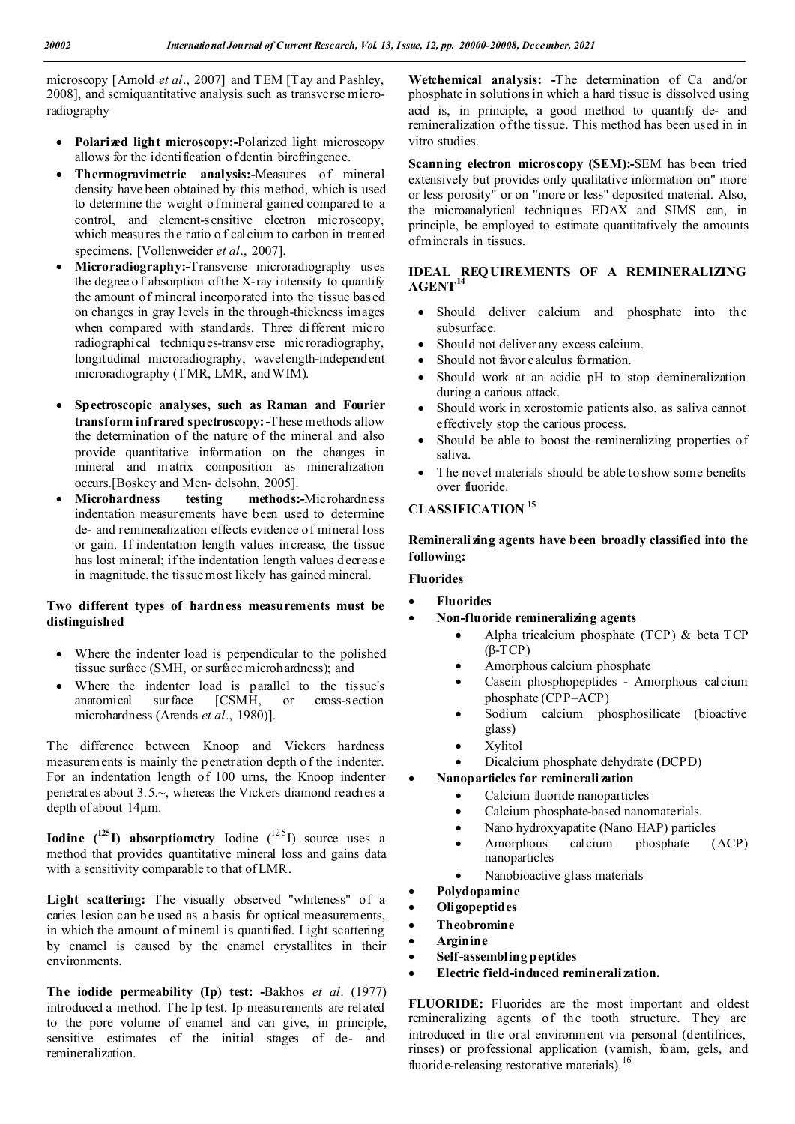microscopy [Arnold *et al*., 2007] and TEM [Tay and Pashley, 2008], and semiquantitative analysis such as transverse microradiography

- **Polarized light microscopy:-**Polarized light microscopy allows for the identification of dentin birefringence.
- **Thermogravimetric analysis:-**Measures of mineral density have been obtained by this method, which is used to determine the weight of mineral gained compared to a control, and element-sensitive electron microscopy, which measures the ratio of calcium to carbon in treated specimens. [Vollenweider *et al*., 2007].
- **Microradiography:-**Transverse microradiography uses the degree of absorption of the X-ray intensity to quantify the amount of mineral incorporated into the tissue based on changes in gray levels in the through-thickness images when compared with standards. Three different micro radiographical techniques-transverse microradiography, longitudinal microradiography, wavelength-independent microradiography (TMR, LMR, and WIM).
- **Spectroscopic analyses, such as Raman and Fourier transform infrared spectroscopy:-**These methods allow the determination of the nature of the mineral and also provide quantitative information on the changes in mineral and matrix composition as mineralization occurs.[Boskey and Men- delsohn, 2005].
- **Microhardness testing methods:-**Microhardness indentation measurements have been used to determine de- and remineralization effects evidence of mineral loss or gain. If indentation length values increase, the tissue has lost mineral; if the indentation length values d ecrease in magnitude, the tissue most likely has gained mineral.

#### **Two different types of hardness measurements must be distinguished**

- Where the indenter load is perpendicular to the polished tissue surface (SMH, or surface microhardness); and
- Where the indenter load is parallel to the tissue's anatomical surface [CSMH, or cross-section microhardness (Arends *et al*., 1980)].

The difference between Knoop and Vickers hardness measurements is mainly the p enetration depth o f the indenter. For an indentation length of 100 urns, the Knoop indenter penetrates about 3.5.~, whereas the Vickers diamond reaches a depth of about 14µm.

**Iodine**  $(^{125}I)$  **absorptiometry** Iodine  $(^{125}I)$  source uses a method that provides quantitative mineral loss and gains data with a sensitivity comparable to that of LMR.

**Light scattering:** The visually observed "whiteness" of a caries lesion can be used as a basis for optical measurements, in which the amount of mineral is quantified. Light scattering by enamel is caused by the enamel crystallites in their environments.

**The iodide permeability (Ip) test: -**Bakhos *et al*. (1977) introduced a method. The Ip test. Ip measurements are related to the pore volume of enamel and can give, in principle, sensitive estimates of the initial stages of de- and remineralization.

**Wetchemical analysis: -**The determination of Ca and/or phosphate in solutions in which a hard tissue is dissolved using acid is, in principle, a good method to quantify de- and remineralization of the tissue. This method has been used in in vitro studies.

**Scanning electron microscopy (SEM):-**SEM has been tried extensively but provides only qualitative information on" more or less porosity" or on "more or less" deposited material. Also, the microanalytical techniques EDAX and SIMS can, in principle, be employed to estimate quantitatively the amounts of minerals in tissues.

#### **IDEAL REQUIREMENTS OF A REMINERALIZING**   $\mathbf{AGENT}^1$

- Should deliver calcium and phosphate into the subsurface.
- Should not deliver any excess calcium.
- Should not favor calculus formation.
- Should work at an acidic pH to stop demineralization during a carious attack.
- Should work in xerostomic patients also, as saliva cannot effectively stop the carious process.
- Should be able to boost the remineralizing properties of saliva.
- The novel materials should be able to show some benefits over fluoride.

# **CLASSIFICATION <sup>15</sup>**

### **Reminerali zing agents have been broadly classified into the following:**

### **Fluorides**

- **Fluorides**
- **Non-fluoride remineralizing agents** 
	- Alpha tricalcium phosphate (TCP) & beta TCP (β-TCP)
	- Amorphous calcium phosphate
	- Casein phosphopeptides Amorphous calcium phosphate (CPP–ACP)
	- Sodium calcium phosphosilicate (bioactive glass)
	- Xylitol
	- Dicalcium phosphate dehydrate (DCPD)
	- **Nanoparticles for reminerali zation** 
		- Calcium fluoride nanoparticles
		- Calcium phosphate-based nanomaterials.
		- Nano hydroxyapatite (Nano HAP) particles
		- Amorphous calcium phosphate (ACP) nanoparticles
		- Nanobioactive glass materials
- **Polydopamine**
- **Oligopeptides**
- **Theobromine**
- **Arginine**
- **Self-assembling peptides**
- **Electric field-induced reminerali zation.**

**FLUORIDE:** Fluorides are the most important and oldest remineralizing agents of the tooth structure. They are introduced in the oral environment via personal (dentifrices, rinses) or professional application (varnish, foam, gels, and fluoride-releasing restorative materials).<sup>16</sup>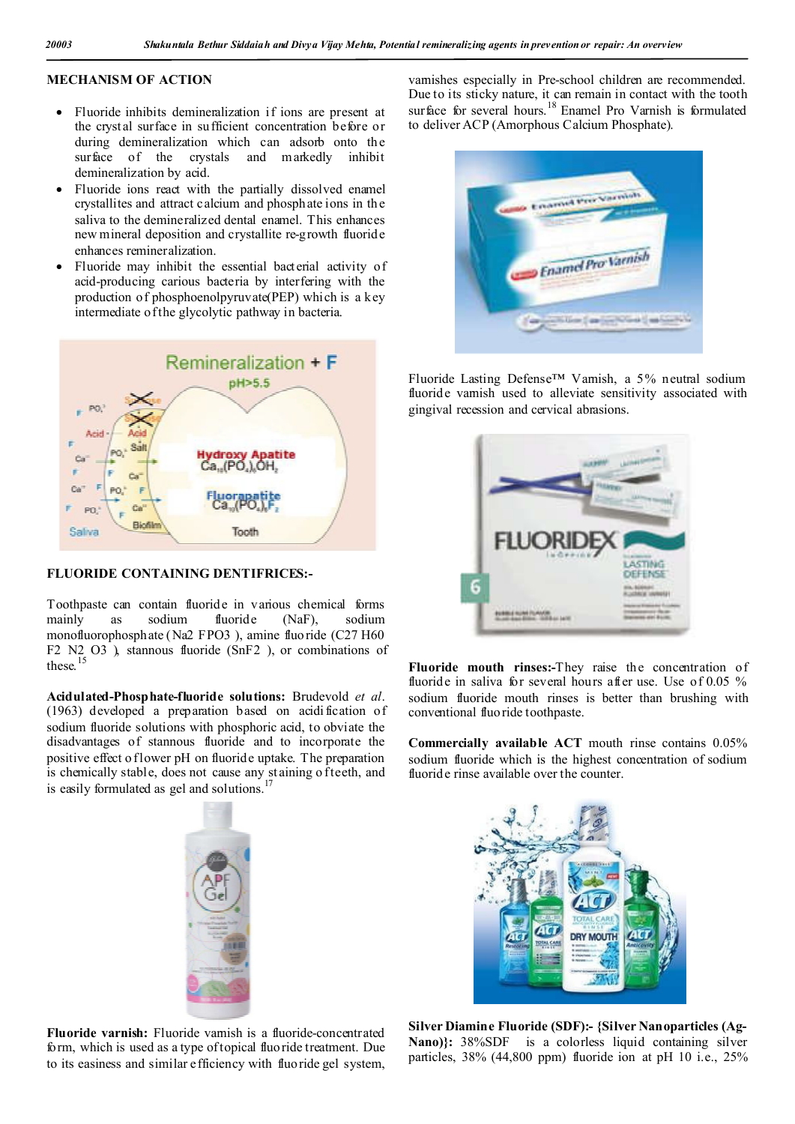#### **MECHANISM OF ACTION**

- Fluoride inhibits demineralization if ions are present at the cryst al surface in sufficient concentration before or during demineralization which can adsorb onto the surface of the crystals and markedly inhibit demineralization by acid.
- Fluoride ions react with the partially dissolved enamel crystallites and attract calcium and phosphate ions in the saliva to the demineralized dental enamel. This enhances new mineral deposition and crystallite re-growth fluoride enhances remineralization.
- Fluoride may inhibit the essential bacterial activity of acid-producing carious bacteria by interfering with the production of phosphoenolpyruvate(PEP) which is a key intermediate of the glycolytic pathway in bacteria.



#### **FLUORIDE CONTAINING DENTIFRICES:-**

Toothpaste can contain fluoride in various chemical forms mainly as sodium fluoride (NaF), sodium monofluorophosphate (Na2 FPO3 ), amine fluoride (C27 H60 F2 N2 O3<sup>)</sup>, stannous fluoride (SnF2), or combinations of these.<sup>15</sup>

**Acidulated-Phosphate-fluoride solutions:** Brudevold *et al*. (1963) developed a preparation based on acidi fication of sodium fluoride solutions with phosphoric acid, to obviate the disadvantages of stannous fluoride and to incorporate the positive effect o flower pH on fluoride uptake. The preparation is chemically stable, does not cause any st aining o f teeth, and is easily formulated as gel and solutions.



**Fluoride varnish:** Fluoride varnish is a fluoride-concentrated form, which is used as a type of topical fluoride treatment. Due to its easiness and similar efficiency with fluoride gel system,

varnishes especially in Pre-school children are recommended. Due to its sticky nature, it can remain in contact with the tooth surface for several hours.<sup>18</sup> Enamel Pro Varnish is formulated to deliver ACP (Amorphous Calcium Phosphate).



Fluoride Lasting Defense™ Varnish, a 5% neutral sodium fluoride varnish used to alleviate sensitivity associated with gingival recession and cervical abrasions.



**Fluoride mouth rinses:-**They raise the concentration of fluoride in saliva for several hours after use. Use of 0.05 % sodium fluoride mouth rinses is better than brushing with conventional fluoride toothpaste.

**Commercially available ACT** mouth rinse contains 0.05% sodium fluoride which is the highest concentration of sodium fluoride rinse available over the counter.



**Silver Diamine Fluoride (SDF):- {Silver Nanoparticles (Ag-**Nano):  $38\%SDF$  is a colorless liquid containing silver particles, 38% (44,800 ppm) fluoride ion at pH 10 i.e., 25%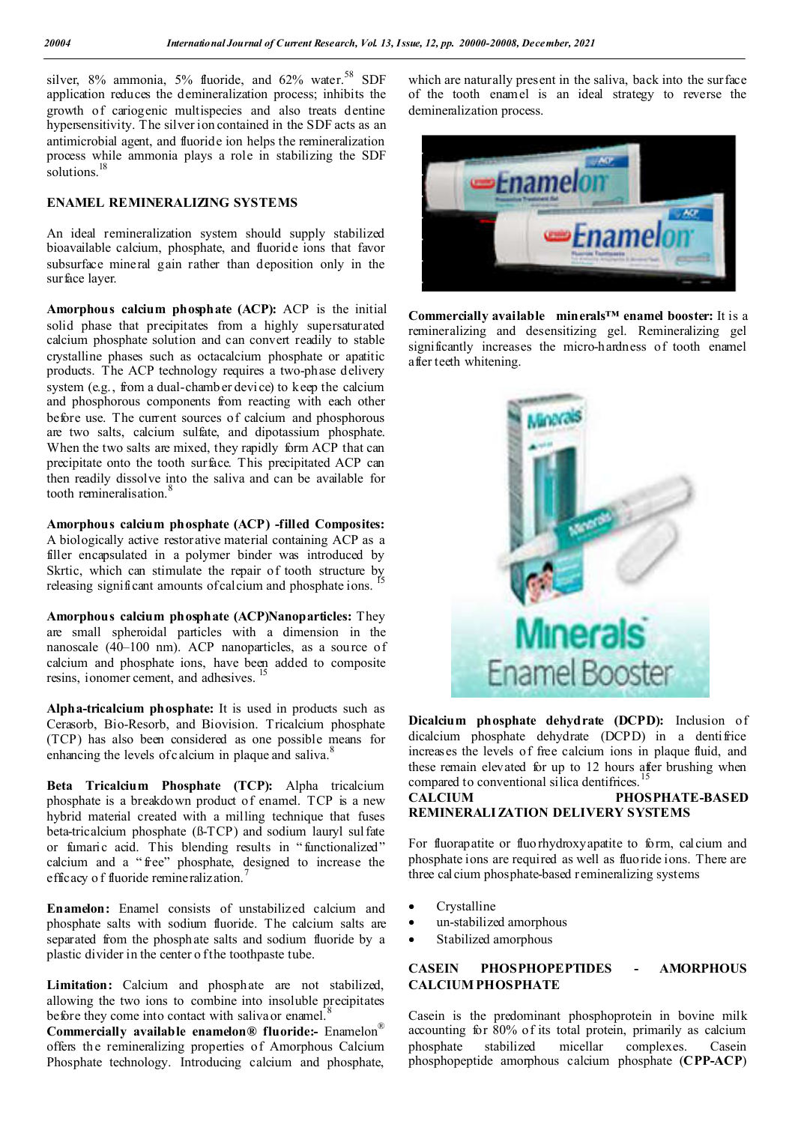silver, 8% ammonia, 5% fluoride, and 62% water.<sup>58</sup> SDF application reduces the demineralization process; inhibits the growth of cariogenic multispecies and also treats dentine hypersensitivity. The silver ion contained in the SDF acts as an antimicrobial agent, and fluoride ion helps the remineralization process while ammonia plays a role in stabilizing the SDF solutions.<sup>18</sup>

#### **ENAMEL REMINERALIZING SYSTEMS**

An ideal remineralization system should supply stabilized bioavailable calcium, phosphate, and fluoride ions that favor subsurface mineral gain rather than deposition only in the surface layer.

**Amorphous calcium phosphate (ACP):** ACP is the initial solid phase that precipitates from a highly supersaturated calcium phosphate solution and can convert readily to stable crystalline phases such as octacalcium phosphate or apatitic products. The ACP technology requires a two-phase delivery system (e.g., from a dual-chamber device) to keep the calcium and phosphorous components from reacting with each other before use. The current sources of calcium and phosphorous are two salts, calcium sulfate, and dipotassium phosphate. When the two salts are mixed, they rapidly form ACP that can precipitate onto the tooth surface. This precipitated ACP can then readily dissolve into the saliva and can be available for tooth remineralisation.<sup>8</sup>

**Amorphous calcium phosphate (ACP) -filled Composites:** A biologically active restorative material containing ACP as a filler encapsulated in a polymer binder was introduced by Skrtic, which can stimulate the repair of tooth structure by releasing significant amounts of calcium and phosphate ions.

**Amorphous calcium phosphate (ACP)Nanoparticles:** They are small spheroidal particles with a dimension in the nanoscale (40–100 nm). ACP nanoparticles, as a source of calcium and phosphate ions, have been added to composite resins, ionomer cement, and adhesives.

**Alpha-tricalcium phosphate:** It is used in products such as Cerasorb, Bio-Resorb, and Biovision. Tricalcium phosphate (TCP) has also been considered as one possible means for enhancing the levels of calcium in plaque and saliva.<sup>8</sup>

**Beta Tricalcium Phosphate (TCP):** Alpha tricalcium phosphate is a breakdown product of enamel. TCP is a new hybrid material created with a milling technique that fuses beta-tricalcium phosphate (ß-TCP) and sodium lauryl sul fate or fumaric acid. This blending results in " functionalized" calcium and a " free" phosphate, designed to increase the efficacy of fluoride remineralization.

**Enamelon:** Enamel consists of unstabilized calcium and phosphate salts with sodium fluoride. The calcium salts are separated from the phosphate salts and sodium fluoride by a plastic divider in the center o f the toothpaste tube.

Limitation: Calcium and phosphate are not stabilized, allowing the two ions to combine into insoluble precipitates before they come into contact with saliva or enamel. $\delta$ 

**Commercially available enamelon® fluoride:-** Enamelon® offers the remineralizing properties of Amorphous Calcium Phosphate technology. Introducing calcium and phosphate,

which are naturally present in the saliva, back into the surface of the tooth enamel is an ideal strategy to reverse the demineralization process.



**Commercially available minerals™ enamel booster:** It is a remineralizing and desensitizing gel. Remineralizing gel significantly increases the micro-hardness of tooth enamel after teeth whitening.



**Dicalcium phosphate dehydrate (DCPD):** Inclusion of dicalcium phosphate dehydrate (DCPD) in a dentifrice increases the levels of free calcium ions in plaque fluid, and these remain elevated for up to 12 hours after brushing when compared to conventional silica dentifrices.<sup>1</sup>

#### **CALCIUM PHOSPHATE-BASED REMINERALI ZATION DELIVERY SYSTEMS**

For fluorapatite or fluorhydroxyapatite to form, calcium and phosphate ions are required as well as fluoride ions. There are three calcium phosphate-based remineralizing systems

- Crystalline
- un-stabilized amorphous
- Stabilized amorphous

#### **CASEIN PHOSPHOPEPTIDES - AMORPHOUS CALCIUM PHOSPHATE**

Casein is the predominant phosphoprotein in bovine milk accounting for 80% of its total protein, primarily as calcium phosphate stabilized micellar complexes. Casein phosphopeptide amorphous calcium phosphate (**CPP-ACP**)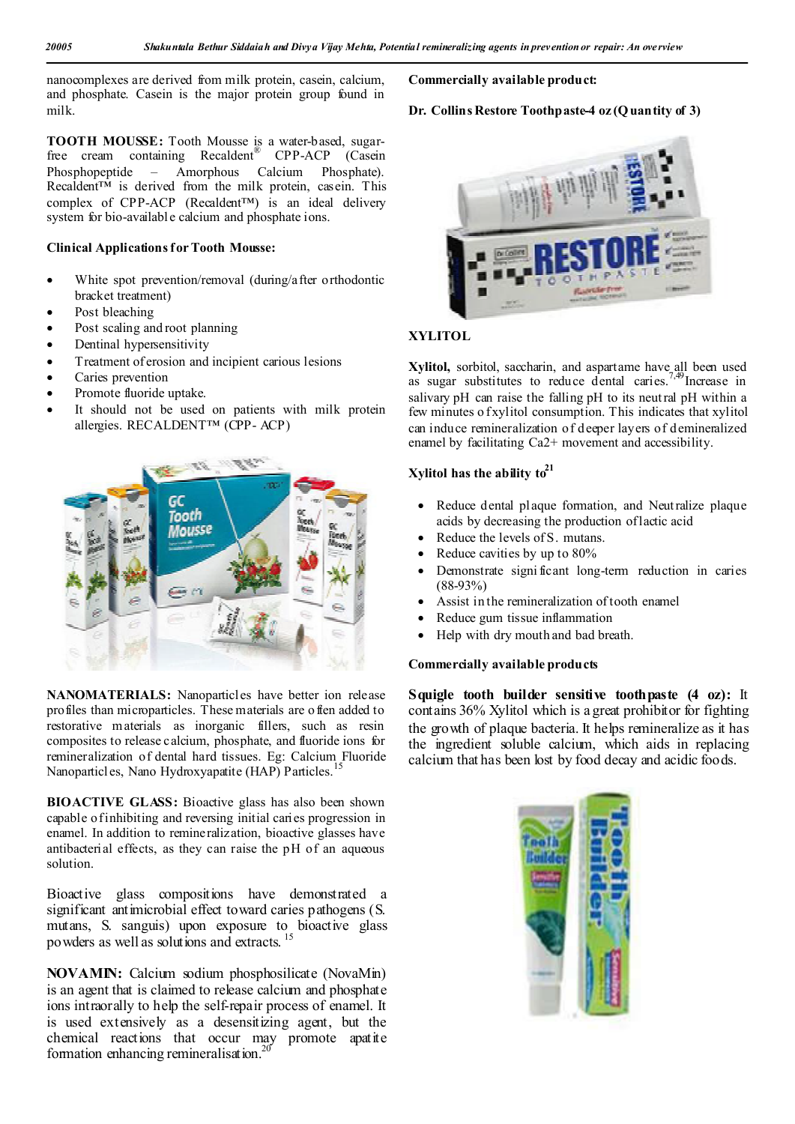nanocomplexes are derived from milk protein, casein, calcium, and phosphate. Casein is the major protein group found in milk.

**TOOTH MOUSSE:** Tooth Mousse is a water-based, sugarfree cream containing Recaldent® CPP-ACP (Casein Phosphopeptide – Amorphous Calcium Phosphate). Recaldent™ is derived from the milk protein, casein. This complex of CPP-ACP (Recaldent™) is an ideal delivery system for bio-available calcium and phosphate ions.

#### **Clinical Applications for Tooth Mousse:**

- White spot prevention/removal (during/after orthodontic bracket treatment)
- Post bleaching
- Post scaling and root planning
- Dentinal hypersensitivity
- Treatment of erosion and incipient carious lesions
- Caries prevention
- Promote fluoride uptake.
- It should not be used on patients with milk protein allergies. RECALDENT™ (CPP- ACP)



**NANOMATERIALS:** Nanoparticles have better ion release profiles than microparticles. These materials are o ften added to restorative materials as inorganic fillers, such as resin composites to release calcium, phosphate, and fluoride ions for remineralization of dental hard tissues. Eg: Calcium Fluoride Nanoparticles, Nano Hydroxyapatite (HAP) Particles.

**BIOACTIVE GLASS:** Bioactive glass has also been shown capable of inhibiting and reversing initial caries progression in enamel. In addition to remineralization, bioactive glasses have antibacterial effects, as they can raise the pH of an aqueous solution.

Bioactive glass compositions have demonstrated a significant antimicrobial effect toward caries pathogens (S. mutans, S. sanguis) upon exposure to bioactive glass powders as well as solutions and extracts.  $1$ 

**NOVAMIN:** Calcium sodium phosphosilicate (NovaMin) is an agent that is claimed to release calcium and phosphate ions intraorally to help the self-repair process of enamel. It is used extensively as a desensitizing agent, but the chemical reactions that occur may promote apatite formation enhancing remineralisation.<sup>20</sup>

#### **Commercially available product:**

### **Dr. Collins Restore Toothpaste-4 oz (Q uantity of 3)**



# **XYLITOL**

**Xylitol,** sorbitol, saccharin, and aspartame have all been used as sugar substitutes to reduce dental caries.<sup>7,49</sup>Increase in salivary pH can raise the falling pH to its neutral pH within a few minutes o fxylitol consumption. This indicates that xylitol can induce remineralization of deeper layers of demineralized enamel by facilitating Ca2+ movement and accessibility.

# **Xylitol has the ability**  $to^{21}$

- Reduce dental plaque formation, and Neutralize plaque acids by decreasing the production of lactic acid
- Reduce the levels of S. mutans.
- Reduce cavities by up to 80%
- Demonstrate signi ficant long-term reduction in caries (88-93%)
- Assist in the remineralization of tooth enamel
- Reduce gum tissue inflammation
- Help with dry mouth and bad breath.

### **Commercially available products**

**Squigle tooth builder sensitive toothpaste (4 oz):** It contains 36% Xylitol which is a great prohibitor for fighting the growth of plaque bacteria. It helps remineralize as it has the ingredient soluble calcium, which aids in replacing calcium that has been lost by food decay and acidic foods.

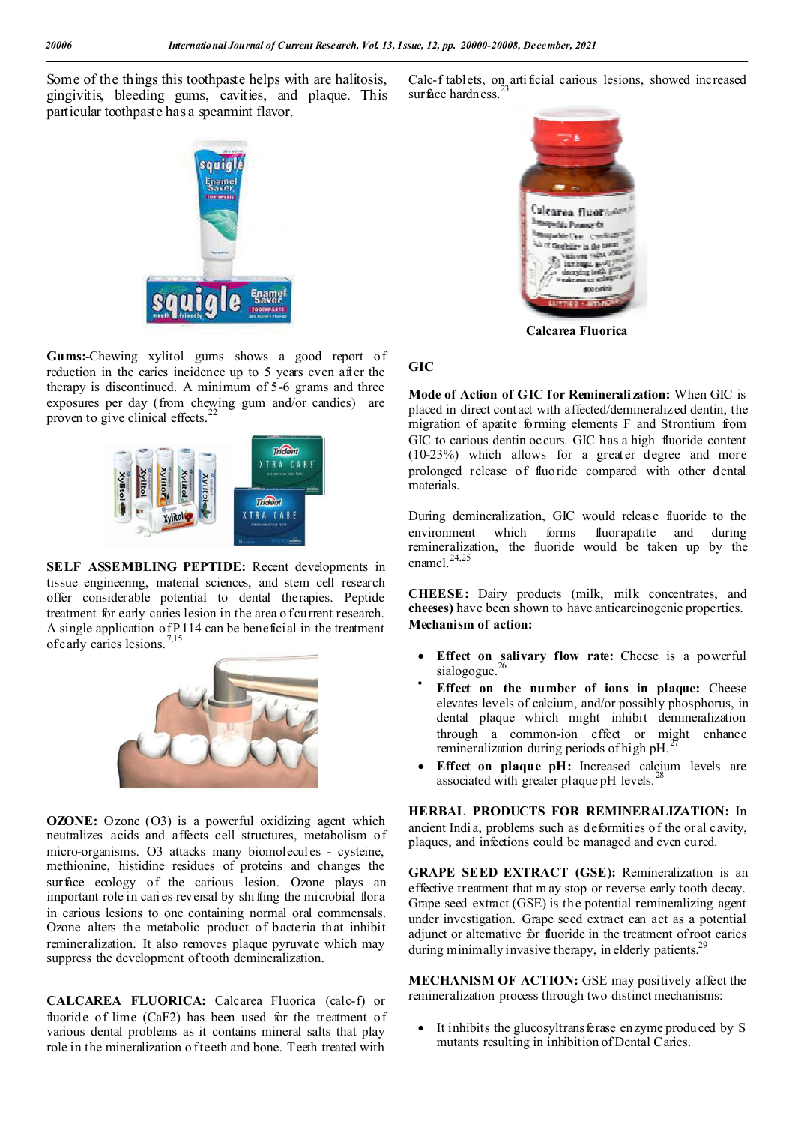Some of the things this toothpaste helps with are halitosis, gingivitis, bleeding gums, cavities, and plaque. This particular toothpaste has a spearmint flavor.



**Gums:-**Chewing xylitol gums shows a good report of reduction in the caries incidence up to 5 years even after the therapy is discontinued. A minimum of 5-6 grams and three exposures per day (from chewing gum and/or candies) are proven to give clinical effects.<sup>2</sup>



**SELF ASSEMBLING PEPTIDE:** Recent developments in tissue engineering, material sciences, and stem cell research offer considerable potential to dental therapies. Peptide treatment for early caries lesion in the area o f current research. A single application of P114 can be beneficial in the treatment of early caries lesions.<sup>7,15</sup>



**OZONE:** Ozone (O3) is a powerful oxidizing agent which neutralizes acids and affects cell structures, metabolism of micro-organisms. O3 attacks many biomolecules - cysteine, methionine, histidine residues of proteins and changes the surface ecology of the carious lesion. Ozone plays an important role in caries reversal by shi fting the microbial flora in carious lesions to one containing normal oral commensals. Ozone alters the metabolic product of bacteria that inhibit remineralization. It also removes plaque pyruvate which may suppress the development of tooth demineralization.

**CALCAREA FLUORICA:** Calcarea Fluorica (calc-f) or fluoride of lime (CaF2) has been used for the treatment of various dental problems as it contains mineral salts that play role in the mineralization o f teeth and bone. Teeth treated with

Calc-f tablets, on arti ficial carious lesions, showed increased surface hardness.



**Calcarea Fluorica**

#### **GIC**

**Mode of Action of GIC for Reminerali zation:** When GIC is placed in direct contact with affected/demineralized dentin, the migration of apatite forming elements F and Strontium from GIC to carious dentin occurs. GIC has a high fluoride content (10-23%) which allows for a greater degree and more prolonged release of fluoride compared with other dental materials.

During demineralization, GIC would release fluoride to the environment which forms fluorapatite and during remineralization, the fluoride would be taken up by the enamel. $^{24,25}$ 

**CHEESE:** Dairy products (milk, milk concentrates, and **cheeses)** have been shown to have anticarcinogenic properties. **Mechanism of action:**

- **Effect on salivary flow rate:** Cheese is a powerful sialogogue.
- **Effect on the number of ions in plaque:** Cheese elevates levels of calcium, and/or possibly phosphorus, in dental plaque which might inhibit demineralization through a common-ion effect or might enhance remineralization during periods of high pH.
- **Effect on plaque pH:** Increased calcium levels are associated with greater plaque pH levels.<sup>2</sup>

**HERBAL PRODUCTS FOR REMINERALIZATION:** In ancient Indi a, problems such as deformities of the oral cavity, plaques, and infections could be managed and even cured.

**GRAPE SEED EXTRACT (GSE):** Remineralization is an effective treatment that m ay stop or reverse early tooth decay. Grape seed extract (GSE) is the potential remineralizing agent under investigation. Grape seed extract can act as a potential adjunct or alternative for fluoride in the treatment of root caries during minimally invasive therapy, in elderly patients.<sup>29</sup>

**MECHANISM OF ACTION:** GSE may positively affect the remineralization process through two distinct mechanisms:

• It inhibits the glucosyltrans ferase enzyme produced by S mutants resulting in inhibition of Dental Caries.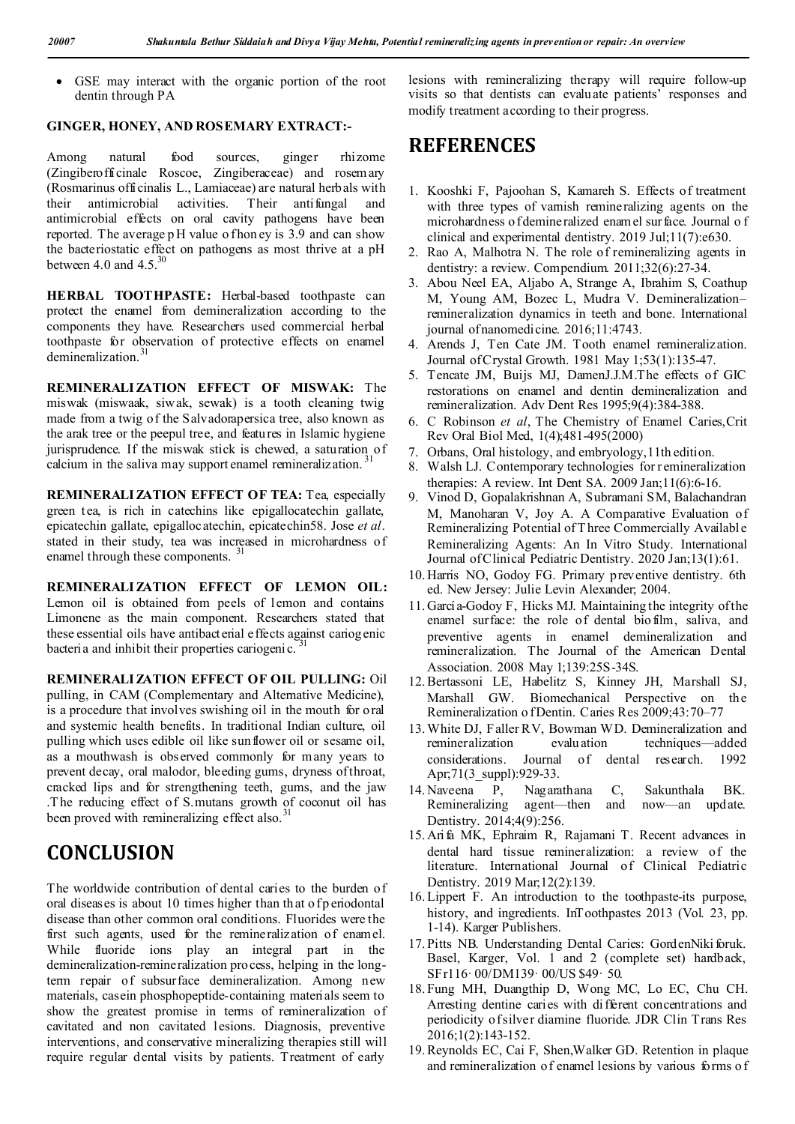GSE may interact with the organic portion of the root dentin through PA

# **GINGER, HONEY, AND ROSEMARY EXTRACT:-**

Among natural food sources, ginger rhizome (Zingiberofficinale Roscoe, Zingiberaceae) and rosemary (Rosmarinus officinalis L., Lamiaceae) are natural herbals with their antimicrobial activities. Their antifungal and antimicrobial effects on oral cavity pathogens have been reported. The average pH value o fhon ey is 3.9 and can show the bacteriostatic effect on pathogens as most thrive at a pH between 4.0 and 4.5. $^{30}$ 

**HERBAL TOOTHPASTE:** Herbal-based toothpaste can protect the enamel from demineralization according to the components they have. Researchers used commercial herbal toothpaste for observation of protective effects on enamel demineralization.<sup>31</sup>

**REMINERALI ZATION EFFECT OF MISWAK:** The miswak (miswaak, siwak, sewak) is a tooth cleaning twig made from a twig of the Salvadorapersica tree, also known as the arak tree or the peepul tree, and features in Islamic hygiene jurisprudence. If the miswak stick is chewed, a saturation of calcium in the saliva may support enamel remineralization.

**REMINERALI ZATION EFFECT OF TEA:** Tea, especially green tea, is rich in catechins like epigallocatechin gallate, epicatechin gallate, epigallocatechin, epicatechin58. Jose *et al*. stated in their study, tea was increased in microhardness of enamel through these components.

**REMINERALI ZATION EFFECT OF LEMON OIL:** Lemon oil is obtained from peels of lemon and contains Limonene as the main component. Researchers stated that these essential oils have antibacterial effects against cariogenic bacteria and inhibit their properties cariogenic.

**REMINERALI ZATION EFFECT OF OIL PULLING:** Oil pulling, in CAM (Complementary and Alternative Medicine), is a procedure that involves swishing oil in the mouth for oral and systemic health benefits. In traditional Indian culture, oil pulling which uses edible oil like sunflower oil or sesame oil, as a mouthwash is observed commonly for many years to prevent decay, oral malodor, bleeding gums, dryness of throat, cracked lips and for strengthening teeth, gums, and the jaw .T he reducing effect of S.mutans growth of coconut oil has been proved with remineralizing effect also.

# **CONCLUSION**

The worldwide contribution of dental caries to the burden of oral diseases is about 10 times higher than that of p eriodontal disease than other common oral conditions. Fluorides were the first such agents, used for the remineralization of enamel. While fluoride ions play an integral part in the demineralization-remineralization process, helping in the longterm repair of subsurface demineralization. Among new materials, casein phosphopeptide-containing materials seem to show the greatest promise in terms of remineralization of cavitated and non cavitated lesions. Diagnosis, preventive interventions, and conservative mineralizing therapies still will require regular dental visits by patients. Treatment of early

lesions with remineralizing therapy will require follow-up visits so that dentists can evaluate patients' responses and modify treatment according to their progress.

# **REFERENCES**

- 1. Kooshki F, Pajoohan S, Kamareh S. Effects of treatment with three types of vamish remineralizing agents on the microhardness o f demineralized enamel surface. Journal o f clinical and experimental dentistry. 2019 Jul;11(7):e630.
- 2. Rao A, Malhotra N. The role of remineralizing agents in dentistry: a review. Compendium. 2011;32(6):27-34.
- 3. Abou Neel EA, Aljabo A, Strange A, Ibrahim S, Coathup M, Young AM, Bozec L, Mudra V. Demineralization– remineralization dynamics in teeth and bone. International journal of nanomedicine. 2016;11:4743.
- 4. Arends J, Ten Cate JM. Tooth enamel remineralization. Journal of Crystal Growth. 1981 May 1;53(1):135-47.
- 5. Tencate JM, Buijs MJ, DamenJ.J.M.The effects of GIC restorations on enamel and dentin demineralization and remineralization. Adv Dent Res 1995;9(4):384-388.
- 6. C Robinson *et al*, The Chemistry of Enamel Caries,Crit Rev Oral Biol Med, 1(4);481-495(2000)
- 7. Orbans, Oral histology, and embryology,11th edition.
- 8. Walsh LJ. Contemporary technologies for remineralization therapies: A review. Int Dent SA. 2009 Jan;11(6):6-16.
- 9. Vinod D, Gopalakrishnan A, Subramani SM, Balachandran M, Manoharan V, Joy A. A Comparative Evaluation of Remineralizing Potential of T hree Commercially Available Remineralizing Agents: An In Vitro Study. International Journal of Clinical Pediatric Dentistry. 2020 Jan;13(1):61.
- 10. Harris NO, Godoy FG. Primary preventive dentistry. 6th ed. New Jersey: Julie Levin Alexander; 2004.
- 11. García-Godoy F, Hicks MJ. Maintaining the integrity of the enamel surface: the role of dental biofilm, saliva, and preventive agents in enamel demineralization and remineralization. The Journal of the American Dental Association. 2008 May 1;139:25S-34S.
- 12.Bertassoni LE, Habelitz S, Kinney JH, Marshall SJ, Marshall GW. Biomechanical Perspective on the Remineralization o f Dentin. Caries Res 2009;43:70–77
- 13.White DJ, Faller RV, Bowman WD. Demineralization and remineralization evaluation techniques—added considerations. Journal of dental research. 1992 Apr;71(3\_suppl):929-33.
- 14. Naveena P, Nagarathana C, Sakunthala BK. Remineralizing agent—then and now—an update. Dentistry. 2014;4(9):256.
- 15. Arifa MK, Ephraim R, Rajamani T. Recent advances in dental hard tissue remineralization: a review of the literature. International Journal of Clinical Pediatric Dentistry. 2019 Mar;12(2):139.
- 16.Lippert F. An introduction to the toothpaste-its purpose, history, and ingredients. InToothpastes 2013 (Vol. 23, pp. 1-14). Karger Publishers.
- 17. Pitts NB. Understanding Dental Caries: GordenNiki foruk. Basel, Karger, Vol. 1 and 2 (complete set) hardback, SFr116· 00/DM139· 00/US \$49· 50.
- 18. Fung MH, Duangthip D, Wong MC, Lo EC, Chu CH. Arresting dentine caries with different concentrations and periodicity of silver diamine fluoride. JDR Clin Trans Res 2016;1(2):143-152.
- 19.Reynolds EC, Cai F, Shen,Walker GD. Retention in plaque and remineralization of enamel lesions by various forms o f